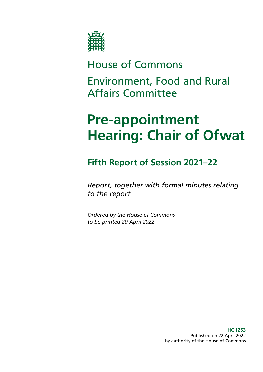

# House of Commons

Environment, Food and Rural Affairs Committee

# **Pre-appointment Hearing: Chair of Ofwat**

### **Fifth Report of Session 2021–22**

*Report, together with formal minutes relating to the report*

*Ordered by the House of Commons to be printed 20 April 2022*

> **HC 1253** Published on 22 April 2022 by authority of the House of Commons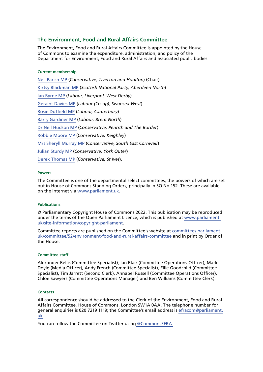#### **The Environment, Food and Rural Affairs Committee**

The Environment, Food and Rural Affairs Committee is appointed by the House of Commons to examine the expenditure, administration, and policy of the Department for Environment, Food and Rural Affairs and associated public bodies

#### **Current membership**

[Neil Parish MP](https://members.parliament.uk/member/4072/contact) (*Conservative, Tiverton and Honiton*) (Chair) [Kirtsy Blackman MP](https://members.parliament.uk/member/4357/contact) (*Scottish National Party, Aberdeen North*) [Ian Byrne MP](https://members.parliament.uk/member/4831/contact) (*Labour, Liverpool, West Derby*) [Geraint Davies MP](https://members.parliament.uk/member/155/contact) *(Labour (Co-op), Swansea West*) [Rosie Duffield MP](https://members.parliament.uk/member/4616/contact) (*Labour, Canterbury*) [Barry Gardiner MP](https://members.parliament.uk/member/146/contact) (*Labour, Brent North*) [Dr Neil Hudson MP](https://members.parliament.uk/member/4853/contact) (*Conservative, Penrith and The Border*) Robbie Moore MP (*Conservative, Keighley*) [Mrs Sheryll Murray MP](https://members.parliament.uk/member/4100/contact) (*Conservative, South East Cornwall*) [Julian Sturdy MP](https://members.parliament.uk/member/4079/contact) (*Conservative, York Outer*) [Derek Thomas MP](https://members.parliament.uk/member/4532/contact) (*Conservative, St Ives*).

#### **Powers**

The Committee is one of the departmental select committees, the powers of which are set out in House of Commons Standing Orders, principally in SO No 152. These are available on the internet via [www.parliament.uk.](http://www.parliament.uk)

#### **Publications**

© Parliamentary Copyright House of Commons 2022. This publication may be reproduced under the terms of the Open Parliament Licence, which is published at [www.parliament.](https://www.parliament.uk/site-information/copyright-parliament) [uk/site-information/copyright-parliament](https://www.parliament.uk/site-information/copyright-parliament).

Committee reports are published on the Committee's website at [committees.parliament.](https://committees.parliament.uk/committee/52/environment-food-and-rural-affairs-committee) [uk/committee/52/environment-food-and-rural-affairs-committee](https://committees.parliament.uk/committee/52/environment-food-and-rural-affairs-committee) and in print by Order of the House.

#### **Committee staff**

Alexander Bellis (Committee Specialist), Ian Blair (Committee Operations Officer), Mark Doyle (Media Officer), Andy French (Committee Specialist), Ellie Goodchild (Committee Specialist), Tim Jarrett (Second Clerk), Annabel Russell (Committee Operations Officer), Chloe Sawyers (Committee Operations Manager) and Ben Williams (Committee Clerk).

#### **Contacts**

All correspondence should be addressed to the Clerk of the Environment, Food and Rural Affairs Committee, House of Commons, London SW1A 0AA. The telephone number for general enquiries is 020 7219 1119; the Committee's email address is [efracom@parliament.](mailto:efracom%40parliament.uk?subject=) [uk.](mailto:efracom%40parliament.uk?subject=)

You can follow the Committee on Twitter using [@CommonsEFRA.](http://twitter.com/CommonsEFRA)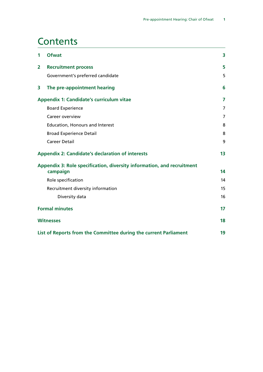### **Contents**

| 1 | <b>Ofwat</b>                                                           | 3              |
|---|------------------------------------------------------------------------|----------------|
| 2 | <b>Recruitment process</b>                                             | 5              |
|   | Government's preferred candidate                                       | 5              |
| 3 | The pre-appointment hearing                                            | 6              |
|   | Appendix 1: Candidate's curriculum vitae                               | 7              |
|   | <b>Board Experience</b>                                                | 7              |
|   | Career overview                                                        | $\overline{7}$ |
|   | <b>Education, Honours and Interest</b>                                 | 8              |
|   | <b>Broad Experience Detail</b>                                         | 8              |
|   | <b>Career Detail</b>                                                   | 9              |
|   | <b>Appendix 2: Candidate's declaration of interests</b>                | 13             |
|   | Appendix 3: Role specification, diversity information, and recruitment |                |
|   | campaign                                                               | 14             |
|   | Role specification                                                     | 14             |
|   | Recruitment diversity information                                      | 15             |
|   | Diversity data                                                         | 16             |
|   | <b>Formal minutes</b>                                                  | 17             |
|   | <b>Witnesses</b>                                                       | 18             |
|   | List of Reports from the Committee during the current Parliament       | 19             |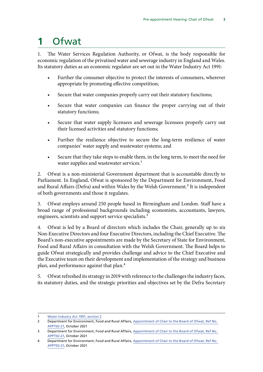# <span id="page-4-0"></span>**1** Ofwat

1. The Water Services Regulation Authority, or Ofwat, is the body responsible for economic regulation of the privatised water and sewerage industry in England and Wales. Its statutory duties as an economic regulator are set out in the Water Industry Act 1991:

- Further the consumer objective to protect the interests of consumers, wherever appropriate by promoting effective competition;
- Secure that water companies properly carry out their statutory functions;
- Secure that water companies can finance the proper carrying out of their statutory functions;
- Secure that water supply licensees and sewerage licensees properly carry out their licensed activities and statutory functions;
- Further the resilience objective to secure the long-term resilience of water companies' water supply and wastewater systems; and
- Secure that they take steps to enable them, in the long term, to meet the need for water supplies and wastewater services.<sup>1</sup>

2. Ofwat is a non-ministerial Government department that is accountable directly to Parliament. In England, Ofwat is sponsored by the Department for Environment, Food and Rural Affairs (Defra) and within Wales by the Welsh Government.<sup>2</sup> It is independent of both governments and those it regulates.

3. Ofwat employs around 250 people based in Birmingham and London. Staff have a broad range of professional backgrounds including economists, accountants, lawyers, engineers, scientists and support service specialists.<sup>3</sup>

4. Ofwat is led by a Board of directors which includes the Chair, generally up to six Non-Executive Directors and four Executive Directors, including the Chief Executive. The Board's non-executive appointments are made by the Secretary of State for Environment, Food and Rural Affairs in consultation with the Welsh Government. The Board helps to guide Ofwat strategically and provides challenge and advice to the Chief Executive and the Executive team on their development and implementation of the strategy and business plan, and performance against that plan.4

5. Ofwat refreshed its strategy in 2019 with reference to the challenges the industry faces, its statutory duties, and the strategic priorities and objectives set by the Defra Secretary

<sup>1</sup> [Water Industry Act 1991,](https://www.legislation.gov.uk/ukpga/1991/56/contents) section 2

<sup>2</sup> Department for Environment, Food and Rural Affairs, [Appointment of Chair to the Board of Ofwat, Ref No.](https://publicappointments.cabinetoffice.gov.uk/wp-content/uploads/2021/10/1_Ofwat-Chair-Candidate-Pack.pdf)  [APPT02-21](https://publicappointments.cabinetoffice.gov.uk/wp-content/uploads/2021/10/1_Ofwat-Chair-Candidate-Pack.pdf), October 2021

<sup>3</sup> Department for Environment, Food and Rural Affairs, [Appointment of Chair to the Board of Ofwat, Ref No.](https://publicappointments.cabinetoffice.gov.uk/wp-content/uploads/2021/10/1_Ofwat-Chair-Candidate-Pack.pdf)  [APPT02-21](https://publicappointments.cabinetoffice.gov.uk/wp-content/uploads/2021/10/1_Ofwat-Chair-Candidate-Pack.pdf), October 2021

<sup>4</sup> Department for Environment, Food and Rural Affairs, [Appointment of Chair to the Board of Ofwat, Ref No.](https://publicappointments.cabinetoffice.gov.uk/wp-content/uploads/2021/10/1_Ofwat-Chair-Candidate-Pack.pdf)  [APPT02-21](https://publicappointments.cabinetoffice.gov.uk/wp-content/uploads/2021/10/1_Ofwat-Chair-Candidate-Pack.pdf), October 2021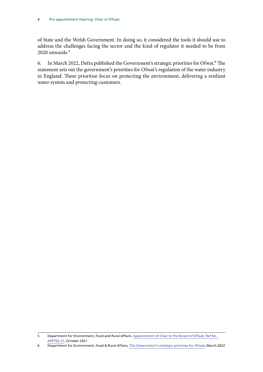of State and the Welsh Government. In doing so, it considered the tools it should use to address the challenges facing the sector and the kind of regulator it needed to be from  $2020$  onwards. $5$ 

6. In March 2022, Defra published the Government's strategic priorities for Ofwat.<sup>6</sup> The statement sets out the government's priorities for Ofwat's regulation of the water industry in England. These prioritise focus on protecting the environment, delivering a resilient water system and protecting customers.

<sup>5</sup> Department for Environment, Food and Rural Affairs, [Appointment of Chair to the Board of Ofwat, Ref No.](https://publicappointments.cabinetoffice.gov.uk/wp-content/uploads/2021/10/1_Ofwat-Chair-Candidate-Pack.pdf)  [APPT02-21](https://publicappointments.cabinetoffice.gov.uk/wp-content/uploads/2021/10/1_Ofwat-Chair-Candidate-Pack.pdf), October 2021

<sup>6</sup> Department for Environment, Food & Rural Affairs, [The Government's strategic priorities for Ofwat,](https://www.gov.uk/government/publications/strategic-policy-statement-to-ofwat-incorporating-social-and-environmental-guidance/february-2022-the-governments-strategic-priorities-for-ofwat) March 2022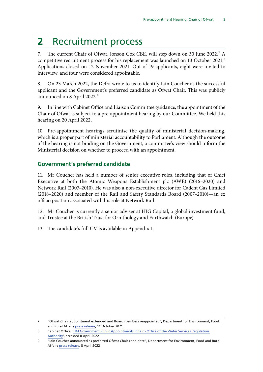# <span id="page-6-0"></span>**2** Recruitment process

7. The current Chair of Ofwat, Jonson Cox CBE, will step down on 30 June 2022.<sup>7</sup> A competitive recruitment process for his replacement was launched on 13 October 2021.<sup>8</sup> Applications closed on 12 November 2021. Out of 19 applicants, eight were invited to interview, and four were considered appointable.

8. On 23 March 2022, the Defra wrote to us to identify Iain Coucher as the successful applicant and the Government's preferred candidate as Ofwat Chair. This was publicly announced on 8 April 2022.<sup>9</sup>

9. In line with Cabinet Office and Liaison Committee guidance, the appointment of the Chair of Ofwat is subject to a pre-appointment hearing by our Committee. We held this hearing on 20 April 2022.

10. Pre-appointment hearings scrutinise the quality of ministerial decision-making, which is a proper part of ministerial accountability to Parliament. Although the outcome of the hearing is not binding on the Government, a committee's view should inform the Ministerial decision on whether to proceed with an appointment.

### **Government's preferred candidate**

11. Mr Coucher has held a number of senior executive roles, including that of Chief Executive at both the Atomic Weapons Establishment plc (AWE) (2016–2020) and Network Rail (2007–2010). He was also a non-executive director for Cadent Gas Limited (2018–2020) and member of the Rail and Safety Standards Board (2007–2010)—an ex officio position associated with his role at Network Rail.

12. Mr Coucher is currently a senior adviser at HIG Capital, a global investment fund, and Trustee at the British Trust for Ornithology and Earthwatch (Europe).

13. The candidate's full CV is available in Appendix 1.

<sup>7</sup> "Ofwat Chair appointment extended and Board members reappointed", Department for Environment, Food and Rural Affairs [press release,](https://www.gov.uk/government/news/ofwat-chair-appointment-extended-and-board-members-reappointed) 11 October 2021;

<sup>8</sup> Cabinet Office, 'HM Government Public Appointments: Chair - Office of the Water Services Regulation [Authority'](https://publicappointments.cabinetoffice.gov.uk/appointment/chair-office-of-the-water-services-regulation-authority/), accessed 8 April 2022

<sup>9</sup> "Iain Coucher announced as preferred Ofwat Chair candidate", Department for Environment, Food and Rural Affairs [press release](https://www.gov.uk/government/news/iain-coucher-announced-as-preferred-ofwat-chair-candidate), 8 April 2022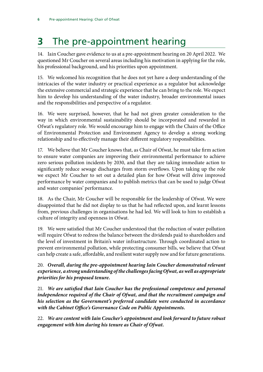# <span id="page-7-0"></span>**3** The pre-appointment hearing

14. Iain Coucher gave evidence to us at a pre-appointment hearing on 20 April 2022. We questioned Mr Coucher on several areas including his motivation in applying for the role, his professional background, and his priorities upon appointment.

15. We welcomed his recognition that he does not yet have a deep understanding of the intricacies of the water industry or practical experience as a regulator but acknowledge the extensive commercial and strategic experience that he can bring to the role. We expect him to develop his understanding of the water industry, broader environmental issues and the responsibilities and perspective of a regulator.

16. We were surprised, however, that he had not given greater consideration to the way in which environmental sustainability should be incorporated and rewarded in Ofwat's regulatory role. We would encourage him to engage with the Chairs of the Office of Environmental Protection and Environment Agency to develop a strong working relationship and to effectively manage their different regulatory responsibilities.

17. We believe that Mr Coucher knows that, as Chair of Ofwat, he must take firm action to ensure water companies are improving their environmental performance to achieve zero serious pollution incidents by 2030, and that they are taking immediate action to significantly reduce sewage discharges from storm overflows. Upon taking up the role we expect Mr Coucher to set out a detailed plan for how Ofwat will drive improved performance by water companies and to publish metrics that can be used to judge Ofwat and water companies' performance.

18. As the Chair, Mr Coucher will be responsible for the leadership of Ofwat. We were disappointed that he did not display to us that he had reflected upon, and learnt lessons from, previous challenges in organisations he had led. We will look to him to establish a culture of integrity and openness in Ofwat.

19. We were satisfied that Mr Coucher understood that the reduction of water pollution will require Ofwat to redress the balance between the dividends paid to shareholders and the level of investment in Britain's water infrastructure. Through coordinated action to prevent environmental pollution, while protecting consumer bills, we believe that Ofwat can help create a safe, affordable, and resilient water supply now and for future generations.

20. *Overall, during the pre-appointment hearing Iain Coucher demonstrated relevant experience, a strong understanding of the challenges facing Ofwat, as well as appropriate priorities for his proposed tenure.*

21. *We are satisfied that Iain Coucher has the professional competence and personal independence required of the Chair of Ofwat, and that the recruitment campaign and his selection as the Government's preferred candidate were conducted in accordance with the Cabinet Office's Governance Code on Public Appointments.*

22. *We are content with Iain Coucher's appointment and look forward to future robust engagement with him during his tenure as Chair of Ofwat.*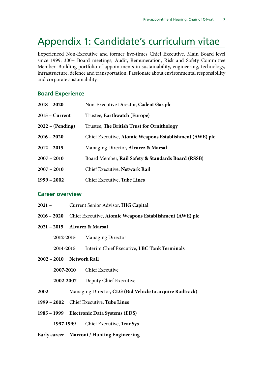### <span id="page-8-0"></span>Appendix 1: Candidate's curriculum vitae

Experienced Non-Executive and former five-times Chief Executive. Main Board level since 1999; 300+ Board meetings; Audit, Remuneration, Risk and Safety Committee Member. Building portfolio of appointments in sustainability, engineering, technology, infrastructure, defence and transportation. Passionate about environmental responsibility and corporate sustainability.

#### **Board Experience**

| $2018 - 2020$      | Non-Executive Director, Cadent Gas plc                  |
|--------------------|---------------------------------------------------------|
| $2015$ – Current   | Trustee, Earthwatch (Europe)                            |
| $2022 - (Pending)$ | Trustee, The British Trust for Ornithology              |
| $2016 - 2020$      | Chief Executive, Atomic Weapons Establishment (AWE) plc |
| $2012 - 2015$      | Managing Director, Alvarez & Marsal                     |
| $2007 - 2010$      | Board Member, Rail Safety & Standards Board (RSSB)      |
| $2007 - 2010$      | Chief Executive, Network Rail                           |
| $1999 - 2002$      | Chief Executive, Tube Lines                             |

#### **Career overview**

| $2021 -$ | Current Senior Advisor, HIG Capital |  |  |  |  |
|----------|-------------------------------------|--|--|--|--|
|----------|-------------------------------------|--|--|--|--|

**2016 – 2020** Chief Executive, **Atomic Weapons Establishment (AWE) plc**

#### **2021 – 2015 Alvarez & Marsal**

| 2012-2015 | Managing Director |
|-----------|-------------------|
|-----------|-------------------|

- **2014-2015** Interim Chief Executive, **LBC Tank Terminals**
- **2002 2010 Network Rail**
	- **2007-2010** Chief Executive

**2002-2007** Deputy Chief Executive

- **2002** Managing Director, **CLG (Bid Vehicle to acquire Railtrack)**
- **1999 2002** Chief Executive, **Tube Lines**
- **1985 1999 Electronic Data Systems (EDS)**

**1997-1999** Chief Executive, **TranSys**

**Early career Marconi / Hunting Engineering**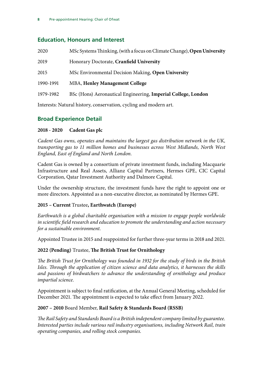### <span id="page-9-0"></span>**Education, Honours and Interest**

| 2020      | MSc Systems Thinking, (with a focus on Climate Change), Open University |
|-----------|-------------------------------------------------------------------------|
| 2019      | Honorary Doctorate, Cranfield University                                |
| 2015      | MSc Environmental Decision Making, Open University                      |
| 1990-1991 | <b>MBA, Henley Management College</b>                                   |
| 1979-1982 | BSc (Hons) Aeronautical Engineering, Imperial College, London           |

Interests: Natural history, conservation, cycling and modern art.

### **Broad Experience Detail**

#### **2018 - 2020 Cadent Gas plc**

*Cadent Gas owns, operates and maintains the largest gas distribution network in the UK, transporting gas to 11 million homes and businesses across West Midlands, North West England, East of England and North London.*

Cadent Gas is owned by a consortium of private investment funds, including Macquarie Infrastructure and Real Assets, Allianz Capital Partners, Hermes GPE, CIC Capital Corporation, Qatar Investment Authority and Dalmore Capital.

Under the ownership structure, the investment funds have the right to appoint one or more directors. Appointed as a non-executive director, as nominated by Hermes GPE.

#### **2015 – Current** Trustee**, Earthwatch (Europe)**

*Earthwatch is a global charitable organisation with a mission to engage people worldwide in scientific field research and education to promote the understanding and action necessary for a sustainable environment.*

Appointed Trustee in 2015 and reappointed for further three-year terms in 2018 and 2021.

#### **2022 (Pending)** Trustee, **The British Trust for Ornithology**

*The British Trust for Ornithology was founded in 1932 for the study of birds in the British Isles. Through the application of citizen science and data analytics, it harnesses the skills and passions of birdwatchers to advance the understanding of ornithology and produce impartial science.*

Appointment is subject to final ratification, at the Annual General Meeting, scheduled for December 2021. The appointment is expected to take effect from January 2022.

#### **2007 – 2010** Board Member, **Rail Safety & Standards Board (RSSB)**

*The Rail Safety and Standards Board is a British independent company limited by guarantee. Interested parties include various rail industry organisations, including Network Rail, train operating companies, and rolling stock companies.*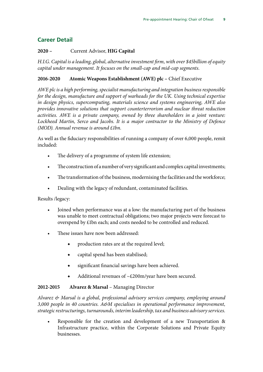### <span id="page-10-0"></span>**Career Detail**

#### **2020 –** Current Advisor, **HIG Capital**

*H.I.G. Capital is a leading, global, alternative investment firm, with over \$45billion of equity capital under management. It focuses on the small-cap and mid-cap segments.*

#### **2016-2020 Atomic Weapons Establishment (AWE) plc –** Chief Executive

*AWE plc is a high performing, specialist manufacturing and integration business responsible for the design, manufacture and support of warheads for the UK. Using technical expertise in design physics, supercomputing, materials science and systems engineering, AWE also provides innovative solutions that support counterterrorism and nuclear threat reduction activities. AWE is a private company, owned by three shareholders in a joint venture: Lockheed Martin, Serco and Jacobs. It is a major contractor to the Ministry of Defence (MOD). Annual revenue is around £1bn.*

As well as the fiduciary responsibilities of running a company of over 6,000 people, remit included:

- The delivery of a programme of system life extension;
- The construction of a number of very significant and complex capital investments;
- The transformation of the business, modernising the facilities and the workforce;
- Dealing with the legacy of redundant, contaminated facilities.

#### Results /legacy:

- Joined when performance was at a low: the manufacturing part of the business was unable to meet contractual obligations; two major projects were forecast to overspend by £1bn each; and costs needed to be controlled and reduced.
- These issues have now been addressed:
	- production rates are at the required level;
	- ◆ capital spend has been stabilised;
	- ◆ significant financial savings have been achieved.
	- Additional revenues of  $\sim$ £200m/year have been secured.

#### **2012-2015 Alvarez & Marsal** – Managing Director

*Alvarez & Marsal is a global, professional advisory services company, employing around 3,000 people in 40 countries. A&M specialises in operational performance improvement, strategic restructurings, turnarounds, interim leadership, tax and business advisory services.*

• Responsible for the creation and development of a new Transportation & Infrastructure practice, within the Corporate Solutions and Private Equity businesses.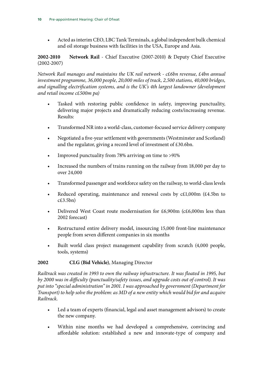• Acted as interim CEO, LBC Tank Terminals, a global independent bulk chemical and oil storage business with facilities in the USA, Europe and Asia.

#### **2002-2010 Network Rail** - Chief Executive (2007-2010) & Deputy Chief Executive (2002-2007)

*Network Rail manages and maintains the UK rail network - c£6bn revenue, £4bn annual investment programme, 36,000 people, 20,000 miles of track, 2,500 stations, 40,000 bridges, and signalling electrification systems, and is the UK's 4th largest landowner (development and retail income c£500m pa)*

- Tasked with restoring public confidence in safety, improving punctuality, delivering major projects and dramatically reducing costs/increasing revenue. Results:
- Transformed NR into a world-class, customer-focused service delivery company
- Negotiated a five-year settlement with governments (Westminster and Scotland) and the regulator, giving a record level of investment of £30.6bn.
- Improved punctuality from 78% arriving on time to >91%
- Increased the numbers of trains running on the railway from 18,000 per day to over 24,000
- Transformed passenger and workforce safety on the railway, to world-class levels
- Reduced operating, maintenance and renewal costs by  $c£1,000$ m ( $£4.5$ bn to c£3.5bn)
- Delivered West Coast route modernisation for £6,900m (c£6,000m less than 2002 forecast)
- Restructured entire delivery model, insourcing 15,000 front-line maintenance people from seven different companies in six months
- Built world class project management capability from scratch (4,000 people, tools, systems)

#### **2002 CLG (Bid Vehicle)**, Managing Director

*Railtrack was created in 1993 to own the railway infrastructure. It was floated in 1995, but by 2000 was in difficulty (punctuality/safety issues, and upgrade costs out of control). It was put into "special administration" in 2001. I was approached by government (Department for Transport) to help solve the problem: as MD of a new entity which would bid for and acquire Railtrack.*

- Led a team of experts (financial, legal and asset management advisors) to create the new company.
- Within nine months we had developed a comprehensive, convincing and affordable solution: established a new and innovate-type of company and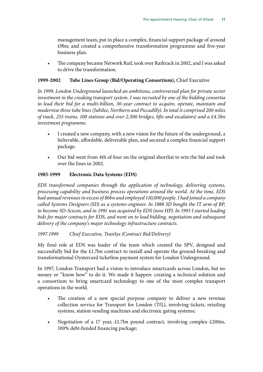management team, put in place a complex, financial support package of around £9bn; and created a comprehensive transformation programme and five-year business plan.

• The company became Network Rail, took over Railtrack in 2002, and I was asked to drive the transformation.

#### **1999-2002 Tube Lines Group (Bid/Operating Consortium),** Chief Executive

*In 1999, London Underground launched an ambitious, controversial plan for private sector investment in the creaking transport system. I was recruited by one of the bidding consortia to lead their bid for a multi-billion, 30-year contract to acquire, operate, maintain and modernise three tube lines (Jubilee, Northern and Piccadilly). In total it comprised 200 miles of track, 255 trains, 100 stations and over 2,500 bridges, lifts and escalators) and a £4.5bn investment programme.*

- I created a new company, with a new vision for the future of the underground, a believable, affordable, deliverable plan, and secured a complex financial support package.
- Our bid went from 4th of four on the original shortlist to win the bid and took over the lines in 2002.

#### **1985-1999 Electronic Data Systems (EDS)**

*EDS transformed companies through the application of technology, delivering systems, processing capability and business process operations around the world. At the time, EDS had annual revenues in excess of \$6bn and employed 110,000 people. I had joined a company called Systems Designers (SD) as a systems-engineer. In 1988 SD bought the IT arm of BP, to become SD-Scicon, and in 1991 was acquired by EDS (now HP). In 1993 I started leading bids for major contracts for EDS, and went on to lead bidding, negotiation and subsequent delivery of the company's major technology infrastructure contracts.*

#### *1997-1999 Chief Executive, TranSys (Contract Bid/Delivery)*

My final role at EDS was leader of the team which created the SPV, designed and successfully bid for the £1.7bn contract to install and operate the ground-breaking and transformational Oystercard ticketless payment system for London Underground.

In 1997, London Transport had a vision to introduce smartcards across London, but no money or "know how" to do it. We made it happen: creating a technical solution and a consortium to bring smartcard technology to one of the most complex transport operations in the world.

- The creation of a new special purpose company to deliver a new revenue collection service for Transport for London (TfL), involving tickets, retailing systems, station vending machines and electronic gating systems;
- Negotiation of a 17 year, £1.7bn pound contract, involving complex £200m, 100% debt-funded financing package;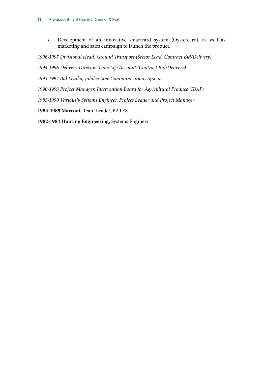• Development of an innovative smartcard system (Oystercard), as well as marketing and sales campaign to launch the product.

*1996-1997 Divisional Head, Ground Transport (Sector Lead, Contract Bid/Delivery)*

*1994-1996 Delivery Director, Time Life Account (Contract Bid/Delivery).*

*1993-1994 Bid Leader, Jubilee Line Communications System.*

*1990-1993 Project Manager, Intervention Board for Agricultural Produce (IBAP).*

*1985-1990 Variously Systems Engineer, Project Leader and Project Manager*

**1984-1985 Marconi,** Team Leader, BATES

**1982-1984 Hunting Engineering,** Systems Engineer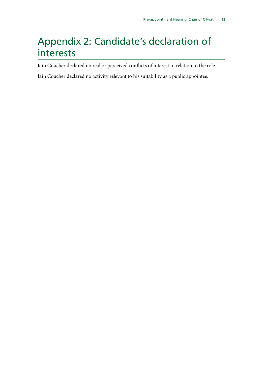### <span id="page-14-0"></span>Appendix 2: Candidate's declaration of interests

Iain Coucher declared no real or perceived conflicts of interest in relation to the role.

Iain Coucher declared no activity relevant to his suitability as a public appointee.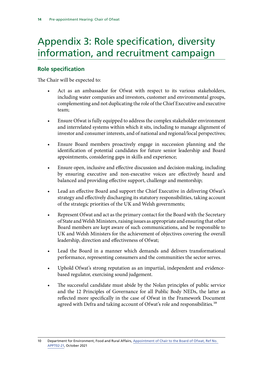# <span id="page-15-0"></span>Appendix 3: Role specification, diversity information, and recruitment campaign

### **Role specification**

The Chair will be expected to:

- Act as an ambassador for Ofwat with respect to its various stakeholders, including water companies and investors, customer and environmental groups, complementing and not duplicating the role of the Chief Executive and executive team;
- Ensure Ofwat is fully equipped to address the complex stakeholder environment and interrelated systems within which it sits, including to manage alignment of investor and consumer interests, and of national and regional/local perspectives;
- Ensure Board members proactively engage in succession planning and the identification of potential candidates for future senior leadership and Board appointments, considering gaps in skills and experience;
- Ensure open, inclusive and effective discussion and decision-making, including by ensuring executive and non-executive voices are effectively heard and balanced and providing effective support, challenge and mentorship;
- Lead an effective Board and support the Chief Executive in delivering Ofwat's strategy and effectively discharging its statutory responsibilities, taking account of the strategic priorities of the UK and Welsh governments;
- Represent Ofwat and act as the primary contact for the Board with the Secretary of State and Welsh Ministers, raising issues as appropriate and ensuring that other Board members are kept aware of such communications, and be responsible to UK and Welsh Ministers for the achievement of objectives covering the overall leadership, direction and effectiveness of Ofwat;
- Lead the Board in a manner which demands and delivers transformational performance, representing consumers and the communities the sector serves.
- Uphold Ofwat's strong reputation as an impartial, independent and evidencebased regulator, exercising sound judgement.
- The successful candidate must abide by the Nolan principles of public service and the 12 Principles of Governance for all Public Body NEDs, the latter as reflected more specifically in the case of Ofwat in the Framework Document agreed with Defra and taking account of Ofwat's role and responsibilities.<sup>10</sup>

<sup>10</sup> Department for Environment, Food and Rural Affairs, [Appointment of Chair to the Board of Ofwat, Ref No.](https://publicappointments.cabinetoffice.gov.uk/wp-content/uploads/2021/10/1_Ofwat-Chair-Candidate-Pack.pdf)  [APPT02-21](https://publicappointments.cabinetoffice.gov.uk/wp-content/uploads/2021/10/1_Ofwat-Chair-Candidate-Pack.pdf), October 2021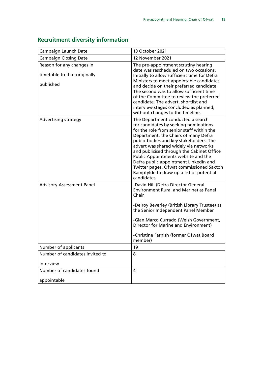### <span id="page-16-0"></span>**Recruitment diversity information**

| Campaign Launch Date             | 13 October 2021                                                                                                                                                                                                                                                                                                                                                                                                                                                                         |
|----------------------------------|-----------------------------------------------------------------------------------------------------------------------------------------------------------------------------------------------------------------------------------------------------------------------------------------------------------------------------------------------------------------------------------------------------------------------------------------------------------------------------------------|
| <b>Campaign Closing Date</b>     | 12 November 2021                                                                                                                                                                                                                                                                                                                                                                                                                                                                        |
| Reason for any changes in        | The pre-appointment scrutiny hearing<br>date was rescheduled on two occasions.                                                                                                                                                                                                                                                                                                                                                                                                          |
| timetable to that originally     | Initially to allow sufficient time for Defra                                                                                                                                                                                                                                                                                                                                                                                                                                            |
| published                        | Ministers to meet appointable candidates<br>and decide on their preferred candidate.<br>The second was to allow sufficient time<br>of the Committee to review the preferred<br>candidate. The advert, shortlist and<br>interview stages concluded as planned,<br>without changes to the timeline.                                                                                                                                                                                       |
| Advertising strategy             | The Department conducted a search<br>for candidates by seeking nominations<br>for the role from senior staff within the<br>Department, the Chairs of many Defra<br>public bodies and key stakeholders. The<br>advert was shared widely via networks<br>and publicised through the Cabinet Office<br>Public Appointments website and the<br>Defra public appointment LinkedIn and<br>Twitter pages. Ofwat commissioned Saxton<br>Bampfylde to draw up a list of potential<br>candidates. |
| <b>Advisory Assessment Panel</b> | -David Hill (Defra Director General<br><b>Environment Rural and Marine) as Panel</b><br>Chair                                                                                                                                                                                                                                                                                                                                                                                           |
|                                  | -Delroy Beverley (British Library Trustee) as<br>the Senior Independent Panel Member                                                                                                                                                                                                                                                                                                                                                                                                    |
|                                  | -Gian Marco Currado (Welsh Government,<br>Director for Marine and Environment)                                                                                                                                                                                                                                                                                                                                                                                                          |
|                                  | -Christine Farnish (former Ofwat Board<br>member)                                                                                                                                                                                                                                                                                                                                                                                                                                       |
| Number of applicants             | 19                                                                                                                                                                                                                                                                                                                                                                                                                                                                                      |
| Number of candidates invited to  | 8                                                                                                                                                                                                                                                                                                                                                                                                                                                                                       |
| Interview                        |                                                                                                                                                                                                                                                                                                                                                                                                                                                                                         |
| Number of candidates found       | 4                                                                                                                                                                                                                                                                                                                                                                                                                                                                                       |
| appointable                      |                                                                                                                                                                                                                                                                                                                                                                                                                                                                                         |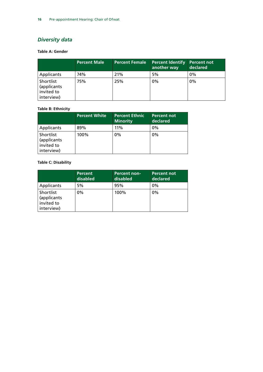### <span id="page-17-0"></span>*Diversity data*

#### **Table A: Gender**

|                                                      | <b>Percent Male</b> | <b>Percent Female</b> | <b>Percent Identify</b><br>another way | <b>Percent not</b><br>declared |
|------------------------------------------------------|---------------------|-----------------------|----------------------------------------|--------------------------------|
| Applicants                                           | 74%                 | 21%                   | 5%                                     | 0%                             |
| Shortlist<br>(applicants<br>invited to<br>interview) | 75%                 | 25%                   | 0%                                     | 0%                             |

#### **Table B: Ethnicity**

|                                                      | <b>Percent White</b> | <b>Percent Ethnic</b><br><b>Minority</b> | <b>Percent not</b><br>declared |
|------------------------------------------------------|----------------------|------------------------------------------|--------------------------------|
| Applicants                                           | 89%                  | 11%                                      | $0\%$                          |
| Shortlist<br>(applicants<br>invited to<br>interview) | 100%                 | 0%                                       | $0\%$                          |

#### **Table C: Disability**

|                                                      | <b>Percent</b><br>disabled | Percent non-<br>disabled | <b>Percent not</b><br>declared |
|------------------------------------------------------|----------------------------|--------------------------|--------------------------------|
| Applicants                                           | 5%                         | 95%                      | $0\%$                          |
| Shortlist<br>(applicants<br>invited to<br>interview) | $0\%$                      | 100%                     | 0%                             |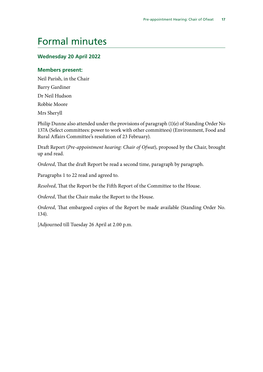### <span id="page-18-0"></span>Formal minutes

#### **Wednesday 20 April 2022**

#### **Members present:**

Neil Parish, in the Chair Barry Gardiner Dr Neil Hudson Robbie Moore Mrs Sheryll

Philip Dunne also attended under the provisions of paragraph (1)(e) of Standing Order No 137A (Select committees: power to work with other committees) (Environment, Food and Rural Affairs Committee's resolution of 23 February).

Draft Report (*Pre-appointment hearing: Chair of Ofwat*), proposed by the Chair, brought up and read.

*Ordered*, That the draft Report be read a second time, paragraph by paragraph.

Paragraphs 1 to 22 read and agreed to.

*Resolved*, That the Report be the Fifth Report of the Committee to the House.

*Ordered*, That the Chair make the Report to the House.

*Ordered*, That embargoed copies of the Report be made available (Standing Order No. 134).

[Adjourned till Tuesday 26 April at 2.00 p.m.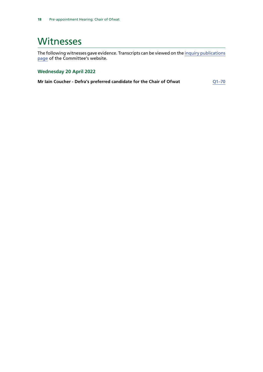### <span id="page-19-0"></span>**Witnesses**

The following witnesses gave evidence. Transcripts can be viewed on the [inquiry publications](https://committees.parliament.uk/work/6651/default/publications/oral-evidence/) [page](https://committees.parliament.uk/work/6651/default/publications/oral-evidence/) of the Committee's website.

#### **Wednesday 20 April 2022**

**Mr Iain Coucher - Defra's preferred candidate for the Chair of Ofwat** [Q1–](https://committees.parliament.uk/oralevidence/10108/html/)70